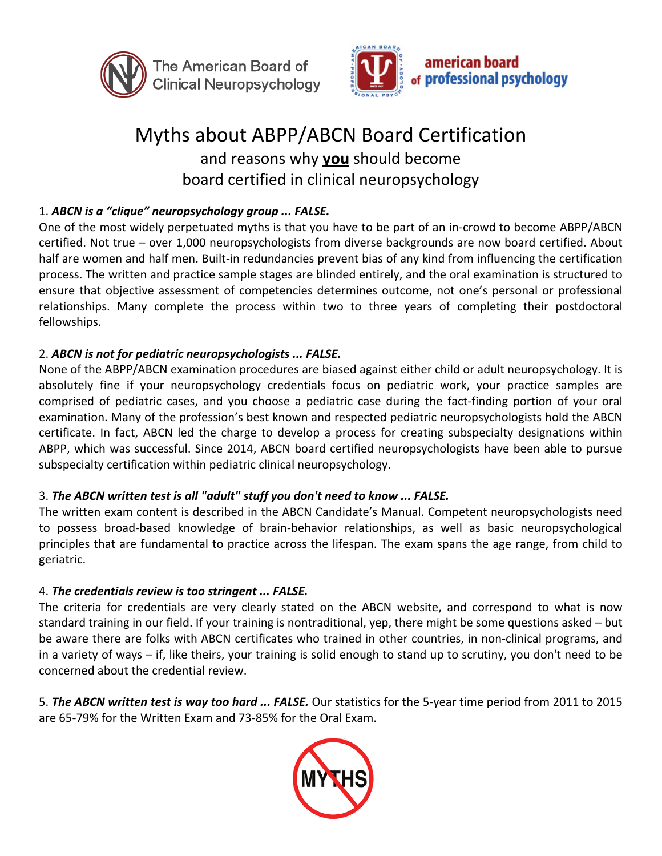



# Myths about ABPP/ABCN Board Certification and reasons why you should become board certified in clinical neuropsychology

# 1. ABCN is a "clique" neuropsychology group ... FALSE.

One of the most widely perpetuated myths is that you have to be part of an in-crowd to become ABPP/ABCN certified. Not true - over 1,000 neuropsychologists from diverse backgrounds are now board certified. About half are women and half men. Built-in redundancies prevent bias of any kind from influencing the certification process. The written and practice sample stages are blinded entirely, and the oral examination is structured to ensure that objective assessment of competencies determines outcome, not one's personal or professional relationships. Many complete the process within two to three years of completing their postdoctoral fellowships. 

#### 2. ABCN is not for pediatric neuropsychologists ... FALSE.

None of the ABPP/ABCN examination procedures are biased against either child or adult neuropsychology. It is absolutely fine if your neuropsychology credentials focus on pediatric work, your practice samples are comprised of pediatric cases, and you choose a pediatric case during the fact-finding portion of your oral examination. Many of the profession's best known and respected pediatric neuropsychologists hold the ABCN certificate. In fact, ABCN led the charge to develop a process for creating subspecialty designations within ABPP, which was successful. Since 2014, ABCN board certified neuropsychologists have been able to pursue subspecialty certification within pediatric clinical neuropsychology.

#### 3. The ABCN written test is all "adult" stuff you don't need to know ... FALSE.

The written exam content is described in the ABCN Candidate's Manual. Competent neuropsychologists need to possess broad-based knowledge of brain-behavior relationships, as well as basic neuropsychological principles that are fundamental to practice across the lifespan. The exam spans the age range, from child to geriatric.

#### 4. The credentials review is too stringent ... FALSE.

The criteria for credentials are very clearly stated on the ABCN website, and correspond to what is now standard training in our field. If your training is nontraditional, yep, there might be some questions asked – but be aware there are folks with ABCN certificates who trained in other countries, in non-clinical programs, and in a variety of ways – if, like theirs, your training is solid enough to stand up to scrutiny, you don't need to be concerned about the credential review.

5. The ABCN written test is way too hard ... FALSE. Our statistics for the 5-year time period from 2011 to 2015 are 65-79% for the Written Exam and 73-85% for the Oral Exam.